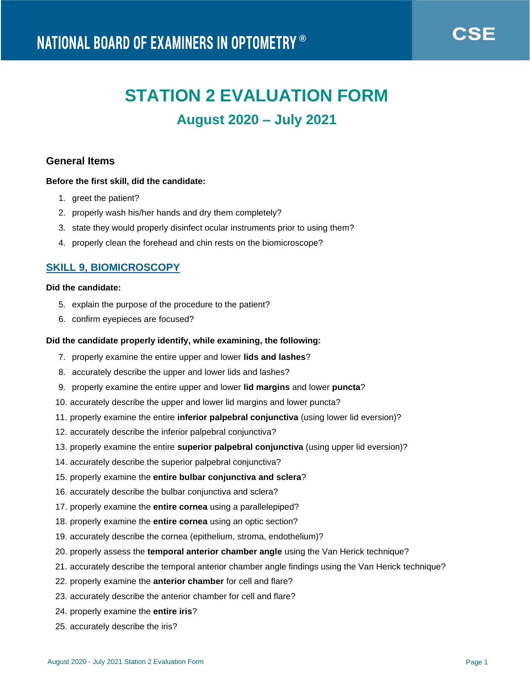# **STATION 2 EVALUATION FORM**

## **August 2020 – July 2021**

## **General Items**

## **Before the first skill, did the candidate:**

- 1. greet the patient?
- 2. properly wash his/her hands and dry them completely?
- 3. state they would properly disinfect ocular instruments prior to using them?
- 4. properly clean the forehead and chin rests on the biomicroscope?

## **SKILL 9, BIOMICROSCOPY**

## **Did the candidate:**

- 5. explain the purpose of the procedure to the patient?
- 6. confirm eyepieces are focused?

## **Did the candidate properly identify, while examining, the following:**

- 7. properly examine the entire upper and lower **lids and lashes**?
- 8. accurately describe the upper and lower lids and lashes?
- 9. properly examine the entire upper and lower **lid margins** and lower **puncta**?
- 10. accurately describe the upper and lower lid margins and lower puncta?
- 11. properly examine the entire **inferior palpebral conjunctiva** (using lower lid eversion)?
- 12. accurately describe the inferior palpebral conjunctiva?
- 13. properly examine the entire **superior palpebral conjunctiva** (using upper lid eversion)?
- 14. accurately describe the superior palpebral conjunctiva?
- 15. properly examine the **entire bulbar conjunctiva and sclera**?
- 16. accurately describe the bulbar conjunctiva and sclera?
- 17. properly examine the **entire cornea** using a parallelepiped?
- 18. properly examine the **entire cornea** using an optic section?
- 19. accurately describe the cornea (epithelium, stroma, endothelium)?
- 20. properly assess the **temporal anterior chamber angle** using the Van Herick technique?
- 21. accurately describe the temporal anterior chamber angle findings using the Van Herick technique?
- 22. properly examine the **anterior chamber** for cell and flare?
- 23. accurately describe the anterior chamber for cell and flare?
- 24. properly examine the **entire iris**?
- 25. accurately describe the iris?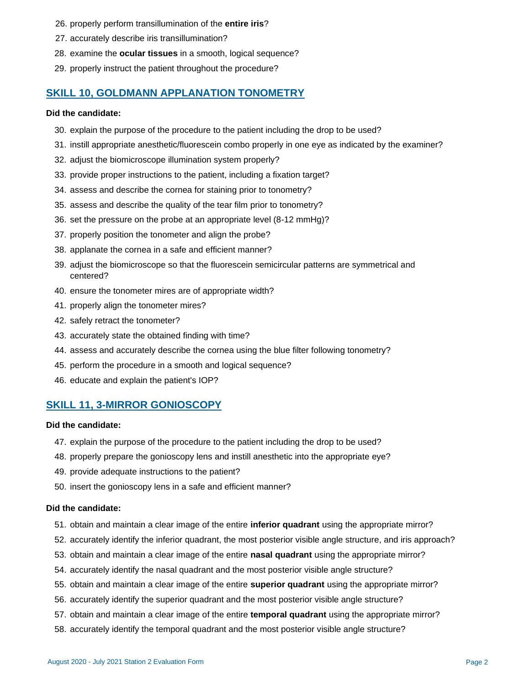- 26. properly perform transillumination of the **entire iris**?
- 27. accurately describe iris transillumination?
- 28. examine the **ocular tissues** in a smooth, logical sequence?
- 29. properly instruct the patient throughout the procedure?

## **SKILL 10, GOLDMANN APPLANATION TONOMETRY**

## **Did the candidate:**

- 30. explain the purpose of the procedure to the patient including the drop to be used?
- 31. instill appropriate anesthetic/fluorescein combo properly in one eye as indicated by the examiner?
- 32. adjust the biomicroscope illumination system properly?
- 33. provide proper instructions to the patient, including a fixation target?
- 34. assess and describe the cornea for staining prior to tonometry?
- 35. assess and describe the quality of the tear film prior to tonometry?
- 36. set the pressure on the probe at an appropriate level (8-12 mmHg)?
- 37. properly position the tonometer and align the probe?
- 38. applanate the cornea in a safe and efficient manner?
- 39. adjust the biomicroscope so that the fluorescein semicircular patterns are symmetrical and centered?
- 40. ensure the tonometer mires are of appropriate width?
- 41. properly align the tonometer mires?
- 42. safely retract the tonometer?
- 43. accurately state the obtained finding with time?
- 44. assess and accurately describe the cornea using the blue filter following tonometry?
- 45. perform the procedure in a smooth and logical sequence?
- 46. educate and explain the patient's IOP?

## **SKILL 11, 3-MIRROR GONIOSCOPY**

#### **Did the candidate:**

- 47. explain the purpose of the procedure to the patient including the drop to be used?
- 48. properly prepare the gonioscopy lens and instill anesthetic into the appropriate eye?
- 49. provide adequate instructions to the patient?
- 50. insert the gonioscopy lens in a safe and efficient manner?

## **Did the candidate:**

- 51. obtain and maintain a clear image of the entire **inferior quadrant** using the appropriate mirror?
- 52. accurately identify the inferior quadrant, the most posterior visible angle structure, and iris approach?
- 53. obtain and maintain a clear image of the entire **nasal quadrant** using the appropriate mirror?
- 54. accurately identify the nasal quadrant and the most posterior visible angle structure?
- 55. obtain and maintain a clear image of the entire **superior quadrant** using the appropriate mirror?
- 56. accurately identify the superior quadrant and the most posterior visible angle structure?
- 57. obtain and maintain a clear image of the entire **temporal quadrant** using the appropriate mirror?
- 58. accurately identify the temporal quadrant and the most posterior visible angle structure?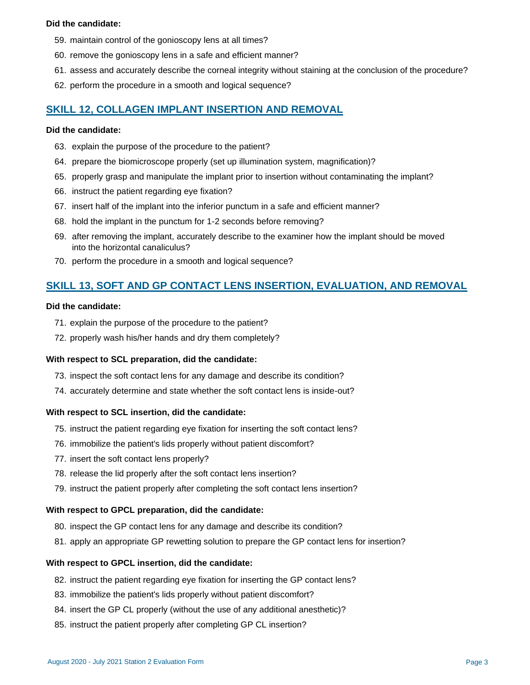## **Did the candidate:**

- 59. maintain control of the gonioscopy lens at all times?
- 60. remove the gonioscopy lens in a safe and efficient manner?
- 61. assess and accurately describe the corneal integrity without staining at the conclusion of the procedure?
- 62. perform the procedure in a smooth and logical sequence?

## **SKILL 12, COLLAGEN IMPLANT INSERTION AND REMOVAL**

#### **Did the candidate:**

- 63. explain the purpose of the procedure to the patient?
- 64. prepare the biomicroscope properly (set up illumination system, magnification)?
- 65. properly grasp and manipulate the implant prior to insertion without contaminating the implant?
- 66. instruct the patient regarding eye fixation?
- 67. insert half of the implant into the inferior punctum in a safe and efficient manner?
- 68. hold the implant in the punctum for 1-2 seconds before removing?
- 69. after removing the implant, accurately describe to the examiner how the implant should be moved into the horizontal canaliculus?
- 70. perform the procedure in a smooth and logical sequence?

## **SKILL 13, SOFT AND GP CONTACT LENS INSERTION, EVALUATION, AND REMOVAL**

#### **Did the candidate:**

- 71. explain the purpose of the procedure to the patient?
- 72. properly wash his/her hands and dry them completely?

## **With respect to SCL preparation, did the candidate:**

- 73. inspect the soft contact lens for any damage and describe its condition?
- 74. accurately determine and state whether the soft contact lens is inside-out?

#### **With respect to SCL insertion, did the candidate:**

- 75. instruct the patient regarding eye fixation for inserting the soft contact lens?
- 76. immobilize the patient's lids properly without patient discomfort?
- 77. insert the soft contact lens properly?
- 78. release the lid properly after the soft contact lens insertion?
- 79. instruct the patient properly after completing the soft contact lens insertion?

#### **With respect to GPCL preparation, did the candidate:**

- 80. inspect the GP contact lens for any damage and describe its condition?
- 81. apply an appropriate GP rewetting solution to prepare the GP contact lens for insertion?

#### **With respect to GPCL insertion, did the candidate:**

- 82. instruct the patient regarding eye fixation for inserting the GP contact lens?
- 83. immobilize the patient's lids properly without patient discomfort?
- 84. insert the GP CL properly (without the use of any additional anesthetic)?
- 85. instruct the patient properly after completing GP CL insertion?